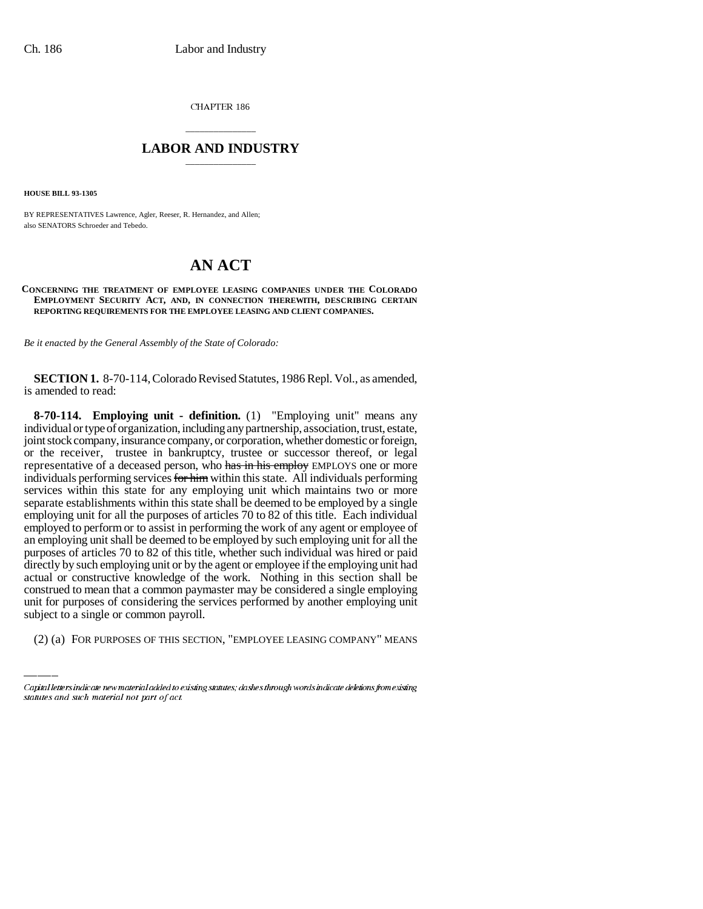CHAPTER 186

# \_\_\_\_\_\_\_\_\_\_\_\_\_\_\_ **LABOR AND INDUSTRY** \_\_\_\_\_\_\_\_\_\_\_\_\_\_\_

**HOUSE BILL 93-1305**

BY REPRESENTATIVES Lawrence, Agler, Reeser, R. Hernandez, and Allen; also SENATORS Schroeder and Tebedo.

# **AN ACT**

### **CONCERNING THE TREATMENT OF EMPLOYEE LEASING COMPANIES UNDER THE COLORADO EMPLOYMENT SECURITY ACT, AND, IN CONNECTION THEREWITH, DESCRIBING CERTAIN REPORTING REQUIREMENTS FOR THE EMPLOYEE LEASING AND CLIENT COMPANIES.**

*Be it enacted by the General Assembly of the State of Colorado:*

**SECTION 1.** 8-70-114, Colorado Revised Statutes, 1986 Repl. Vol., as amended, is amended to read:

construed to mean that a common paymaster may be considered a single employing **8-70-114. Employing unit - definition.** (1) "Employing unit" means any individual or type of organization, including any partnership, association, trust, estate, joint stock company, insurance company, or corporation, whether domestic or foreign, or the receiver, trustee in bankruptcy, trustee or successor thereof, or legal representative of a deceased person, who has in his employ EMPLOYS one or more individuals performing services for him within this state. All individuals performing services within this state for any employing unit which maintains two or more separate establishments within this state shall be deemed to be employed by a single employing unit for all the purposes of articles 70 to 82 of this title. Each individual employed to perform or to assist in performing the work of any agent or employee of an employing unit shall be deemed to be employed by such employing unit for all the purposes of articles 70 to 82 of this title, whether such individual was hired or paid directly by such employing unit or by the agent or employee if the employing unit had actual or constructive knowledge of the work. Nothing in this section shall be unit for purposes of considering the services performed by another employing unit subject to a single or common payroll.

(2) (a) FOR PURPOSES OF THIS SECTION, "EMPLOYEE LEASING COMPANY" MEANS

Capital letters indicate new material added to existing statutes; dashes through words indicate deletions from existing statutes and such material not part of act.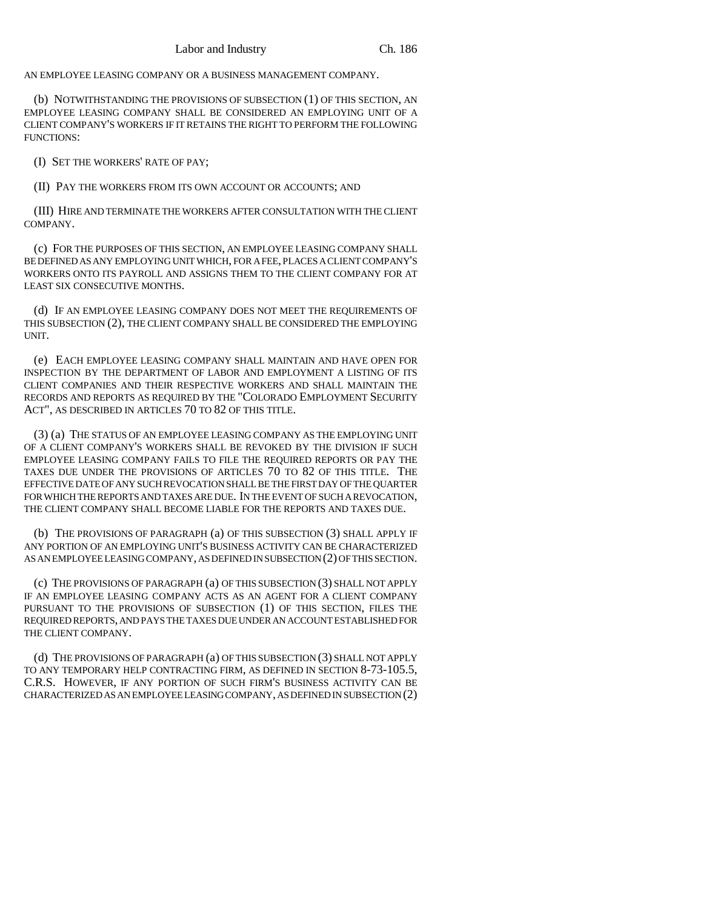AN EMPLOYEE LEASING COMPANY OR A BUSINESS MANAGEMENT COMPANY.

(b) NOTWITHSTANDING THE PROVISIONS OF SUBSECTION (1) OF THIS SECTION, AN EMPLOYEE LEASING COMPANY SHALL BE CONSIDERED AN EMPLOYING UNIT OF A CLIENT COMPANY'S WORKERS IF IT RETAINS THE RIGHT TO PERFORM THE FOLLOWING FUNCTIONS:

(I) SET THE WORKERS' RATE OF PAY;

(II) PAY THE WORKERS FROM ITS OWN ACCOUNT OR ACCOUNTS; AND

(III) HIRE AND TERMINATE THE WORKERS AFTER CONSULTATION WITH THE CLIENT COMPANY.

(c) FOR THE PURPOSES OF THIS SECTION, AN EMPLOYEE LEASING COMPANY SHALL BE DEFINED AS ANY EMPLOYING UNIT WHICH, FOR A FEE, PLACES A CLIENT COMPANY'S WORKERS ONTO ITS PAYROLL AND ASSIGNS THEM TO THE CLIENT COMPANY FOR AT LEAST SIX CONSECUTIVE MONTHS.

(d) IF AN EMPLOYEE LEASING COMPANY DOES NOT MEET THE REQUIREMENTS OF THIS SUBSECTION (2), THE CLIENT COMPANY SHALL BE CONSIDERED THE EMPLOYING UNIT.

(e) EACH EMPLOYEE LEASING COMPANY SHALL MAINTAIN AND HAVE OPEN FOR INSPECTION BY THE DEPARTMENT OF LABOR AND EMPLOYMENT A LISTING OF ITS CLIENT COMPANIES AND THEIR RESPECTIVE WORKERS AND SHALL MAINTAIN THE RECORDS AND REPORTS AS REQUIRED BY THE "COLORADO EMPLOYMENT SECURITY ACT", AS DESCRIBED IN ARTICLES 70 TO 82 OF THIS TITLE.

(3) (a) THE STATUS OF AN EMPLOYEE LEASING COMPANY AS THE EMPLOYING UNIT OF A CLIENT COMPANY'S WORKERS SHALL BE REVOKED BY THE DIVISION IF SUCH EMPLOYEE LEASING COMPANY FAILS TO FILE THE REQUIRED REPORTS OR PAY THE TAXES DUE UNDER THE PROVISIONS OF ARTICLES 70 TO 82 OF THIS TITLE. THE EFFECTIVE DATE OF ANY SUCH REVOCATION SHALL BE THE FIRST DAY OF THE QUARTER FOR WHICH THE REPORTS AND TAXES ARE DUE. IN THE EVENT OF SUCH A REVOCATION, THE CLIENT COMPANY SHALL BECOME LIABLE FOR THE REPORTS AND TAXES DUE.

(b) THE PROVISIONS OF PARAGRAPH (a) OF THIS SUBSECTION (3) SHALL APPLY IF ANY PORTION OF AN EMPLOYING UNIT'S BUSINESS ACTIVITY CAN BE CHARACTERIZED AS AN EMPLOYEE LEASING COMPANY, AS DEFINED IN SUBSECTION (2) OF THIS SECTION.

(c) THE PROVISIONS OF PARAGRAPH (a) OF THIS SUBSECTION (3) SHALL NOT APPLY IF AN EMPLOYEE LEASING COMPANY ACTS AS AN AGENT FOR A CLIENT COMPANY PURSUANT TO THE PROVISIONS OF SUBSECTION (1) OF THIS SECTION, FILES THE REQUIRED REPORTS, AND PAYS THE TAXES DUE UNDER AN ACCOUNT ESTABLISHED FOR THE CLIENT COMPANY.

(d) THE PROVISIONS OF PARAGRAPH (a) OF THIS SUBSECTION (3) SHALL NOT APPLY TO ANY TEMPORARY HELP CONTRACTING FIRM, AS DEFINED IN SECTION 8-73-105.5, C.R.S. HOWEVER, IF ANY PORTION OF SUCH FIRM'S BUSINESS ACTIVITY CAN BE CHARACTERIZED AS AN EMPLOYEE LEASING COMPANY, AS DEFINED IN SUBSECTION (2)